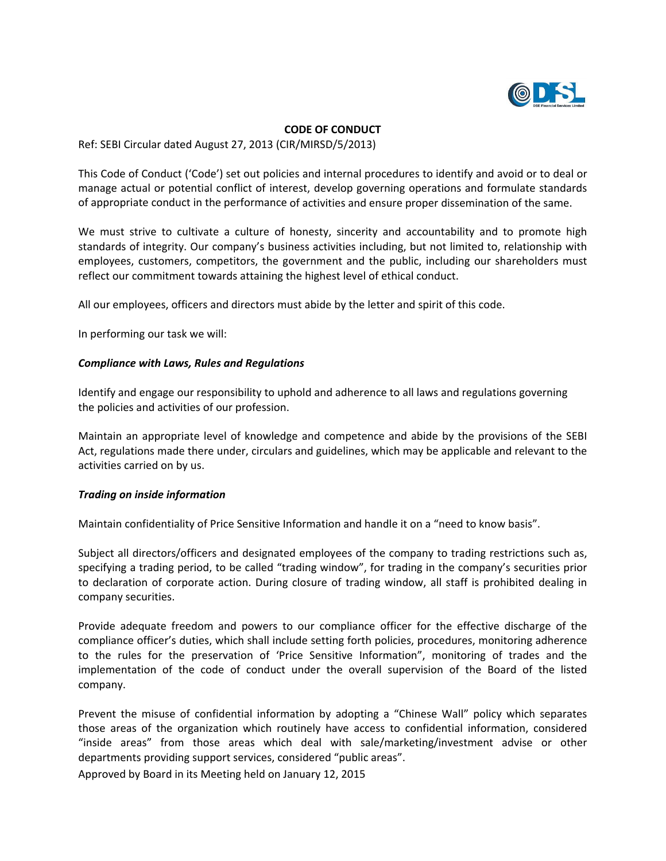

#### **CODE OF CONDUCT**

Ref: SEBI Circular dated August 27, 2013 (CIR/MIRSD/5/2013)

This Code of Conduct ('Code') set out policies and internal procedures to identify and avoid or to deal or manage actual or potential conflict of interest, develop governing operations and formulate standards of appropriate conduct in the performance of activities and ensure proper dissemination of the same.

We must strive to cultivate a culture of honesty, sincerity and accountability and to promote high standards of integrity. Our company's business activities including, but not limited to, relationship with employees, customers, competitors, the government and the public, including our shareholders must reflect our commitment towards attaining the highest level of ethical conduct.

All our employees, officers and directors must abide by the letter and spirit of this code.

In performing our task we will:

### *Compliance with Laws, Rules and Regulations*

Identify and engage our responsibility to uphold and adherence to all laws and regulations governing the policies and activities of our profession.

Maintain an appropriate level of knowledge and competence and abide by the provisions of the SEBI Act, regulations made there under, circulars and guidelines, which may be applicable and relevant to the activities carried on by us.

## *Trading on inside information*

Maintain confidentiality of Price Sensitive Information and handle it on a "need to know basis".

Subject all directors/officers and designated employees of the company to trading restrictions such as, specifying a trading period, to be called "trading window", for trading in the company's securities prior to declaration of corporate action. During closure of trading window, all staff is prohibited dealing in company securities.

Provide adequate freedom and powers to our compliance officer for the effective discharge of the compliance officer's duties, which shall include setting forth policies, procedures, monitoring adherence to the rules for the preservation of 'Price Sensitive Information", monitoring of trades and the implementation of the code of conduct under the overall supervision of the Board of the listed company.

Prevent the misuse of confidential information by adopting a "Chinese Wall" policy which separates those areas of the organization which routinely have access to confidential information, considered "inside areas" from those areas which deal with sale/marketing/investment advise or other departments providing support services, considered "public areas".

Approved by Board in its Meeting held on January 12, 2015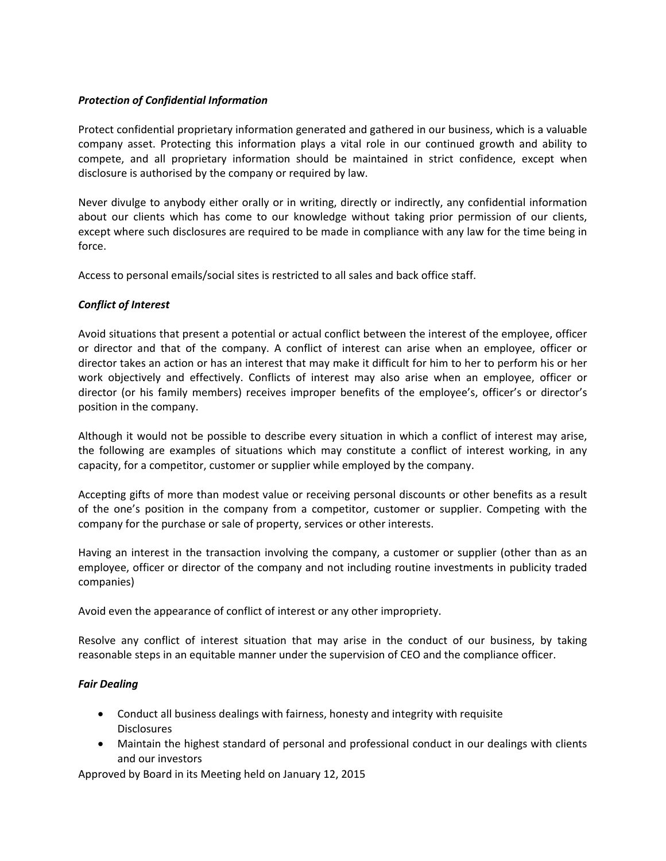## *Protection of Confidential Information*

Protect confidential proprietary information generated and gathered in our business, which is a valuable company asset. Protecting this information plays a vital role in our continued growth and ability to compete, and all proprietary information should be maintained in strict confidence, except when disclosure is authorised by the company or required by law.

Never divulge to anybody either orally or in writing, directly or indirectly, any confidential information about our clients which has come to our knowledge without taking prior permission of our clients, except where such disclosures are required to be made in compliance with any law for the time being in force.

Access to personal emails/social sites is restricted to all sales and back office staff.

## *Conflict of Interest*

Avoid situations that present a potential or actual conflict between the interest of the employee, officer or director and that of the company. A conflict of interest can arise when an employee, officer or director takes an action or has an interest that may make it difficult for him to her to perform his or her work objectively and effectively. Conflicts of interest may also arise when an employee, officer or director (or his family members) receives improper benefits of the employee's, officer's or director's position in the company.

Although it would not be possible to describe every situation in which a conflict of interest may arise, the following are examples of situations which may constitute a conflict of interest working, in any capacity, for a competitor, customer or supplier while employed by the company.

Accepting gifts of more than modest value or receiving personal discounts or other benefits as a result of the one's position in the company from a competitor, customer or supplier. Competing with the company for the purchase or sale of property, services or other interests.

Having an interest in the transaction involving the company, a customer or supplier (other than as an employee, officer or director of the company and not including routine investments in publicity traded companies)

Avoid even the appearance of conflict of interest or any other impropriety.

Resolve any conflict of interest situation that may arise in the conduct of our business, by taking reasonable steps in an equitable manner under the supervision of CEO and the compliance officer.

# *Fair Dealing*

- Conduct all business dealings with fairness, honesty and integrity with requisite Disclosures
- Maintain the highest standard of personal and professional conduct in our dealings with clients and our investors

Approved by Board in its Meeting held on January 12, 2015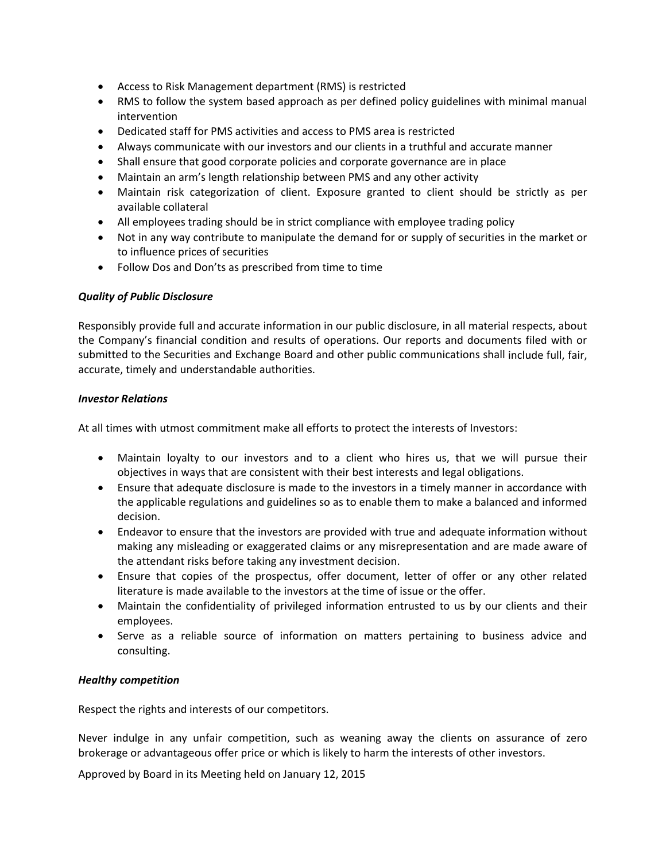- Access to Risk Management department (RMS) is restricted
- RMS to follow the system based approach as per defined policy guidelines with minimal manual intervention
- Dedicated staff for PMS activities and access to PMS area is restricted
- Always communicate with our investors and our clients in a truthful and accurate manner
- Shall ensure that good corporate policies and corporate governance are in place
- Maintain an arm's length relationship between PMS and any other activity
- Maintain risk categorization of client. Exposure granted to client should be strictly as per available collateral
- All employees trading should be in strict compliance with employee trading policy
- Not in any way contribute to manipulate the demand for or supply of securities in the market or to influence prices of securities
- Follow Dos and Don'ts as prescribed from time to time

## *Quality of Public Disclosure*

Responsibly provide full and accurate information in our public disclosure, in all material respects, about the Company's financial condition and results of operations. Our reports and documents filed with or submitted to the Securities and Exchange Board and other public communications shall include full, fair, accurate, timely and understandable authorities.

### *Investor Relations*

At all times with utmost commitment make all efforts to protect the interests of Investors:

- Maintain loyalty to our investors and to a client who hires us, that we will pursue their objectives in ways that are consistent with their best interests and legal obligations.
- Ensure that adequate disclosure is made to the investors in a timely manner in accordance with the applicable regulations and guidelines so as to enable them to make a balanced and informed decision.
- Endeavor to ensure that the investors are provided with true and adequate information without making any misleading or exaggerated claims or any misrepresentation and are made aware of the attendant risks before taking any investment decision.
- Ensure that copies of the prospectus, offer document, letter of offer or any other related literature is made available to the investors at the time of issue or the offer.
- Maintain the confidentiality of privileged information entrusted to us by our clients and their employees.
- Serve as a reliable source of information on matters pertaining to business advice and consulting.

## *Healthy competition*

Respect the rights and interests of our competitors.

Never indulge in any unfair competition, such as weaning away the clients on assurance of zero brokerage or advantageous offer price or which is likely to harm the interests of other investors.

Approved by Board in its Meeting held on January 12, 2015